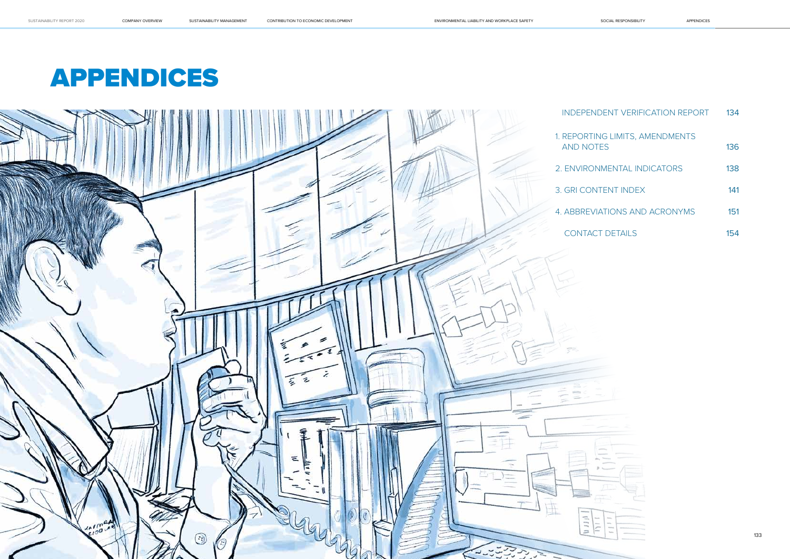

# APPENDICES

| <b>IDENT VERIFICATION REPORT</b>    | 134 |
|-------------------------------------|-----|
| NG LIMITS, AMENDMENTS<br><b>TES</b> | 136 |
| <b>NMENTAL INDICATORS</b>           | 138 |
| <b>JTENT INDEX</b>                  | 141 |
| <b>IATIONS AND ACRONYMS</b>         | 151 |
| <b>CT DETAILS</b>                   | 154 |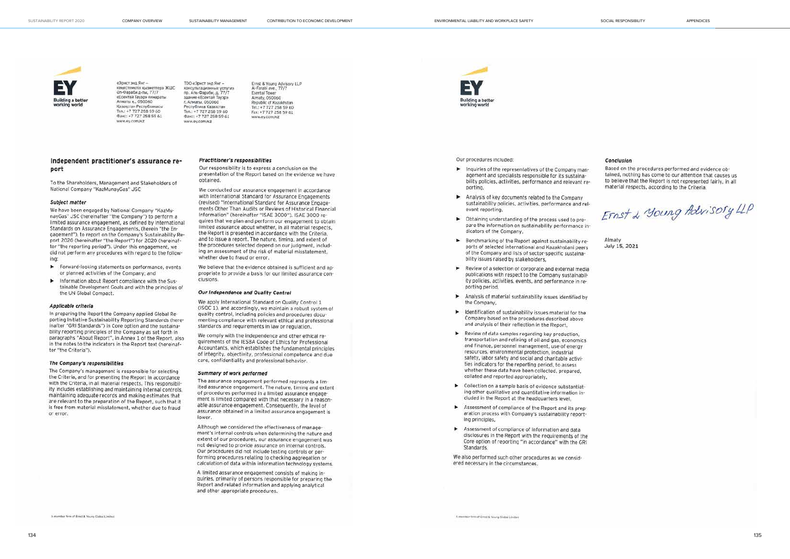**COMPANY OVERVIEW** 

SUSTAINABILITY MANAGEMENT



«Зонст энд Янг» кеңестемелік қызметтер» ЖШС<br>Әл-Фараби д-лы, 77/7 «Есентай Тауэр» «имарать Anwarry v. 050060 Қазақстан Республикасы  $Tan - +7.727.25856A$ Факс: +7 727 258 59 61 www.ey.com/xz

 $TOO$   $x$   $90x$  $73x$  $9x$  $9x$  $$ консультационные успугиз no. Any-Qapa6y, p. 77/7 здание «Есентай Тауэр» г. Алматы, 050060<br>Республика Казахстан Ten.: +7 727 258 59 60 Факс: +7 727 258 59 61 www.ev.com/kz

Ernst & Young Advisory LLP<br>Al-Farabi ave., 77/7 **Esental Tower** Almaty, 050060 Republic of Kazakhstan Tel.: +7 727 258 59 60 Fax: +7 727 258 59 61 www.ev.com/xz

Independent practitioner's assurance report

To the Shareholders, Management and Stakeholders of National Company "KazMunayGas" JSC

#### Subject matter

We have been engaged by National Company "KazMunayGas" JSC (hereinafter "the Company") to perform a limited assurance engagement, as defined by International Standards on Assurance Engagements, (herein "the Engagement"), to report on the Company's Sustainability Report 2020 (hereinafter "the Report") for 2020 (hereinafter "the reporting period"). Under this engagement, we did not perform any procedures with regard to the following:

- Forward-looking statements on performance, events or planned activities of the Company; and
- Information about Report compliance with the Sustainable Development Goals and with the principles of the UN Global Compact

#### Applicable criteria

In preparing the Report the Company applied Global Reporting Initiative Sustainability Reporting Standards (hereinafter "GRI Standards") in Core option and the sustainability reporting principles of the Company as set forth in paragraphs "About Report", in Annex 1 of the Report, also in the notes to the indicators in the Report text (hereinafter "the Criteria").

#### The Company's responsibilities

The Company's management is responsible for selecting the Criteria, and for presenting the Report in accordance with the Criteria, in all material respects. This responsibility includes establishing and maintaining internal controls, maintaining adequate records and making estimates that are relevant to the preparation of the Report, such that it is free from material misstatement, whether due to fraud or error.

A member firm of Ernst & Young Global Limited

#### Practitioner's responsibilities

Our responsibility is to express a conclusion on the presentation of the Report based on the evidence we have obtained.

We conducted our assurance engagement in accordance with International Standard for Assurance Engagements (revised) "International Standard for Assurance Engagements Other Than Audits or Reviews of Historical Financial Information" (hereinafter "ISAE 3000"). ISAE 3000 requires that we plan and perform our engagement to obtain limited assurance about whether, in all material respects, the Report is presented in accordance with the Criteria. and to issue a report. The nature, timing, and extent of the procedures selected depend on our judgment, including an assessment of the risk of material misstatement. whether due to fraud or error.

We believe that the evidence obtained is sufficient and anpropriate to provide a basis for our limited assurance conclusions.

#### Our Independence and Quality Control

We apply International Standard on Quality Control 1 (ISQC 1), and accordingly, we maintain a robust system of quality control, including policies and procedures documenting compliance with relevant ethical and professional standards and requirements in law or requlation.

We comply with the independence and other ethical requirements of the IESBA Code of Ethics for Professional Accountants, which establishes the fundamental principles of integrity, objectivity, professional competence and due care, confidentiality and professional behavior.

#### Summary of work performed

The assurance engagement performed represents a limited assurance engagement. The nature, timing and extent of procedures performed in a limited assurance engagement is limited compared with that necessary in a reasonable assurance engagement. Consequently, the level of assurance obtained in a limited assurance engagement is lower

Although we considered the effectiveness of management's internal controls when determining the nature and extent of our procedures, our assurance engagement was not designed to provide assurance on internal controls. Our procedures did not include testing controls or performing procedures relating to checking aggregation or calculation of data within information technology systems.

A limited assurance engagement consists of making inquiries, primarily of persons responsible for preparing the Report and related information and applying analytical and other appropriate procedures.



Our procedures included:

- Inquiries of the representatives of the Company management and specialists responsible for its sustainability policies, activities, performance and relevant reporting
- Analysis of key documents related to the Company sustainability policies, activities, performance and relevant reporting
- > Obtaining understanding of the process used to prepare the information on sustainability performance indicators of the Company.
- Benchmarking of the Report against sustainability reports of selected international and Kazakhstani peers of the Company and lists of sector-specific sustainability issues raised by stakeholders.
- Review of a selection of corporate and external media publications with respect to the Company sustainability policies, activities, events, and performance in reporting period,
- Analysis of material sustainability issues identified by the Company,
- Identification of sustainability issues material for the Company based on the procedures described above and analysis of their reflection in the Report.
- Review of data samples regarding key production. transportation and refining of oil and gas, economics and finance, personnel management, use of energy resources, environmental protection, industrial safety, labor safety and social and charitable activities indicators for the reporting period, to assess whether these data have been collected, prepared, collated and reported appropriately.
- > Collection on a sample basis of evidence substantiating other qualitative and quantitative information included in the Report at the headquarters level,
- Assessment of compliance of the Report and its preparation process with Company's sustainability reporting principles.
- Assessment of compliance of information and data disclosures in the Report with the requirements of the Core option of reporting "in accordance" with the GRI Standards

We also performed such other procedures as we considered necessary in the circumstances.

Conclusion

Based on the procedures performed and evidence obtained, nothing has come to our attention that causes us to believe that the Report is not represented fairly, in all material respects, according to the Criteria.

Ernst & young Advisory LLP

Almaty July 15, 2021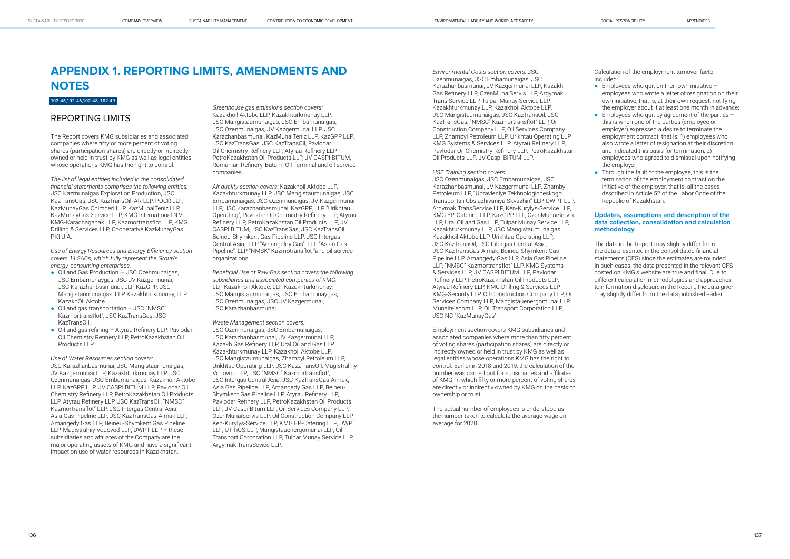## **APPENDIX 1. REPORTING LIMITS, AMENDMENTS AND NOTES**

#### 102-45,102-46,102-48, 102-49

### REPORTING LIMITS

The Report covers KMG subsidiaries and associated companies where fifty or more percent of voting shares (participation shares) are directly or indirectly owned or held in trust by KMG as well as legal entities whose operations KMG has the right to control.

- $\bullet$  Oil and Gas Production  $-$  JSC Ozenmunaigas, JSC Embamunaygas, JSC JV Kazgermunai, JSC Karazhanbasmunai, LLP KazGPP, JSC Mangistaumunaigas, LLP Kazakhturkmunay, LLP KazakhOil Aktobe.
- Oil and gas transportation JSC "NMSC" Kazmortransflot", JSC KazTransGas, JSC KazTransOil.
- Oil and gas refining Atyrau Refinery LLP, Pavlodar Oil Chemistry Refinery LLP, PetroKazakhstan Oil Products LLP

*The list of legal entities included in the consolidated financial statements comprises the following entities:*  JSC Kazmunaigas Exploration Production, JSC KazTransGas, JSC KazTransOil, AR LLP, POCR LLP, KazMunayGas Onimderi LLP, KazMunaiTeniz LLP, KazMunayGas-Service LLP, KMG International N.V., KMG-Karachaganak LLP, Kazmortransflot LLP, KMG Drilling & Services LLP, Cooperative KazMunayGas PKI U.A.

*Use of Energy Resources and Energy Efficiency section covers 14 SACs, which fully represent the Group's energy-consuming enterprises.* 

*Use of Water Resources section covers:*  JSC Karazhanbasmunai, JSC Mangistaumunaigas, JV Kazgermunai LLP, Kazakhturkmunay LLP, JSC Ozenmunaigas, JSC Embamunaigas, Kazakhoil Aktobe LLP, KazGPP LLP, JV CASPI BITUM LLP, Pavlodar Oil Chemistry Refinery LLP, PetroKazakhstan Oil Products LLP, Atyrau Refinery LLP, JSC KazTransOil, "NMSC" Kazmortransflot" LLP, JSC Intergas Central Asia, Asia Gas Pipeline LLP, JSC KazTransGas-Aimak LLP, Amangedy Gas LLP, Beineu-Shymkent Gas Pipeline LLP, Magistralniy Vodovod LLP, DWPT LLP – these subsidiaries and affiliates of the Company are the major operating assets of KMG and have a significant impact on use of water resources in Kazakhstan.

*Greenhouse gas emissions section covers:* Kazakhoil Aktobe LLP, Kazakhturkmunay LLP, JSC Mangistaumunaigas, JSC Embamunaigas, JSC Ozenmunaigas, JV Kazgermunai LLP, JSC Karazhanbasmunai, KazMunaiTeniz LLP, KazGPP LLP, JSC KazTransGas, JSC KazTransOil, Pavlodar Oil Chemistry Refinery LLP, Atyrau Refinery LLP, PetroKazakhstan Oil Products LLP, JV CASPI BITUM, Romanian Refinery, Batumi Oil Terminal and oil service companies

*Air quality section covers:* Kazakhoil Aktobe LLP, Kazakhturkmunay LLP, JSC Mangistaumunaigas, JSC Embamunaigas, JSC Ozenmunaigas, JV Kazgermunai LLP, JSC Karazhanbasmunai, KazGPP, LLP "Urikhtau Operating", Pavlodar Oil Chemistry Refinery LLP, Atyrau Refinery LLP, PetroKazakhstan Oil Products LLP, JV CASPI BITUM, JSC KazTransGas, JSC KazTransOil, Beineu-Shymkent Gas Pipeline LLP, JSC Intergas Central Asia, LLP "Amangeldy Gas", LLP "Asian Gas Pipeline", LLP "NMSK" Kazmotransflot "and oil service organizations.

*Beneficial Use of Raw Gas section covers the following subsidiaries and associated companies of KMG:*  LLP Kazakhoil Aktobe, LLP Kazakhturkmunay, JSC Mangistaumunaigas, JSC Embamunaygas, JSC Ozenmunaigas, JSC JV Kazgermunai, JSC Karazhanbasmunai.

- $\bullet$  Employees who quit on their own initiative employees who wrote a letter of resignation on their own initiative, that is, at their own request, notifying the employer about it at least one month in advance;
- $\bullet$  Employees who quit by agreement of the parties  $$ this is when one of the parties (employee or employer) expressed a desire to terminate the employment contract, that is: 1) employees who also wrote a letter of resignation at their discretion and indicated this basis for termination; 2) employees who agreed to dismissal upon notifying the employer;
- Through the fault of the employee, this is the termination of the employment contract on the initiative of the employer, that is, all the cases described in Article 52 of the Labor Code of the Republic of Kazakhstan.

*Waste Management section covers:*  JSC Ozenmunaigas, JSC Embamunaigas, JSC Karazhanbasmunai, JV Kazgermunai LLP, Kazakh Gas Refinery LLP, Ural Oil and Gas LLP, Kazakhturkmunay LLP, Kazakhoil Aktobe LLP, JSC Mangistaumunaigas, Zhambyl Petroleum LLP, Urikhtau Operating LLP, JSC KazzTransOil, Magistralniy Vodovod LLP, JSC "NMSC" Kazmortransflot", JSC Intergas Central Asia, JSC KazTransGas-Aimak, Asia Gas Pipeline LLP, Amangedy Gas LLP, Beineu-Shymkent Gas Pipeline LLP, Atyrau Refinery LLP, Pavlodar Refinery LLP, PetroKazakhstan Oil Products LLP, JV Caspi Bitum LLP, Oil Services Company LLP, OzenMunaiServis LLP, Oil Construction Company LLP, Ken-Kurylys-Service LLP, KMG EP-Catering LLP, DWPT LLP, UTTiOS LLP, Mangistauenergomunai LLP, Oil Transport Corporation LLP, Tulpar Munay Service LLP, Argymak TransSevice LLP.

*Environmental Costs section covers:* JSC Ozenmunaigas, JSC Embamunaigas, JSC Karazhanbasmunai, JV Kazgermunai LLP, Kazakh Gas Refinery LLP, OzenMunaiServis LLP, Argymak Trans Service LLP, Tulpar Munay Service LLP, Kazakhturkmunay LLP, Kazakhoil Aktobe LLP, JSC Mangistaumunaigas, JSC KazTransOil, JSC KazTransGas, "NMSC" Kazmortransflot" LLP, Oil Construction Company LLP, Oil Services Company LLP, Zhambyl Petroleum LLP, Urikhtau Operating LLP, KMG Systems & Services LLP, Atyrau Refinery LLP, Pavlodar Oil Chemistry Refinery LLP, PetroKazakhstan Oil Products LLP, JV Caspi BITUM LLP.

#### *HSE Training section covers:*

JSC Ozenmunaigas, JSC Embamunaigas, JSC Karazhanbasmunai, JV Kazgermunai LLP, Zhambyl Petroleum LLP, "Upravleniye Tekhnologicheskogo Transporta i Obsluzhivaniya Skvazhin" LLP, DWPT LLP, Argymak TransService LLP, Ken-Kurylys-Service LLP, KMG EP-Catering LLP, KazGPP LLP, OzenMunaiServis LLP, Ural Oil and Gas LLP, Tulpar Munay Service LLP, Kazakhturkmunay LLP, JSC Mangistaumunaigas, Kazakhoil Aktobe LLP, Urikhtau Operating LLP, JSC KazTransOil, JSC Intergas Central Asia, JSC KazTransGas-Aimak, Beineu-Shymkent Gas Pipeline LLP, Amangedy Gas LLP, Asia Gas Pipeline LLP, "NMSC" Kazmortransflot" LLP, KMG Systems & Services LLP, JV CASPI BITUM LLP, Pavlodar Refinery LLP, PetroKazakhstan Oil Products LLP, Atyrau Refinery LLP, KMG Drilling & Services LLP, KMG-Security LLP, Oil Construction Company LLP, Oil Services Company LLP, Mangistauenergomunai LLP, Munaitelecom LLP, Oil Transport Corporation LLP, JSC NC "KazMunayGas".

Employment section covers KMG subsidiaries and associated companies where more than fifty percent of voting shares (participation shares) are directly or indirectly owned or held in trust by KMG as well as legal entities whose operations KMG has the right to control. Earlier in 2018 and 2019, the calculation of the number was carried out for subsidiaries and affiliates of KMG, in which fifty or more percent of voting shares are directly or indirectly owned by KMG on the basis of ownership or trust.

The actual number of employees is understood as the number taken to calculate the average wage on average for 2020.

Сalculation of the employment turnover factor included:

#### **Updates, assumptions and description of the data collection, consolidation and calculation methodology**

The data in the Report may slightly differ from the data presented in the consolidated financial statements (CFS) since the estimates are rounded. In such cases, the data presented in the relevant CFS posted on KMG's website are true and final. Due to different calculation methodologies and approaches to information disclosure in the Report, the data given may slightly differ from the data published earlier.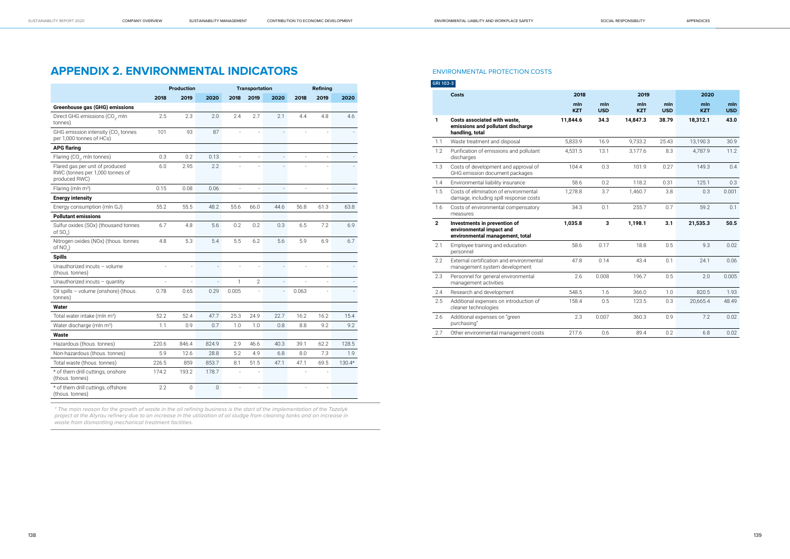## **APPENDIX 2. ENVIRONMENTAL INDICATORS**

|                                                                                     |       | Production          |                | <b>Transportation</b> |                |                          | <b>Refining</b> |      |          |
|-------------------------------------------------------------------------------------|-------|---------------------|----------------|-----------------------|----------------|--------------------------|-----------------|------|----------|
|                                                                                     | 2018  | 2019                | 2020           | 2018                  | 2019           | 2020                     | 2018            | 2019 | 2020     |
| Greenhouse gas (GHG) emissions                                                      |       |                     |                |                       |                |                          |                 |      |          |
| Direct GHG emissions (CO <sub>2</sub> , mln<br>tonnes)                              | 2.5   | 2.3                 | 2.0            | 2.4                   | 2.7            | 2.1                      | 4.4             | 4.8  | 4.6      |
| GHG emission intensity (CO <sub>2</sub> tonnes<br>per 1,000 tonnes of HCs)          | 101   | 93                  | 87             |                       |                |                          |                 |      |          |
| <b>APG flaring</b>                                                                  |       |                     |                |                       |                |                          |                 |      |          |
| Flaring (CO <sub>2</sub> , mln tonnes)                                              | 0.3   | 0.2                 | 0.13           | $\overline{a}$        | $\overline{a}$ | $\overline{a}$           |                 |      |          |
| Flared gas per unit of produced<br>RWC (tonnes per 1,000 tonnes of<br>produced RWC) | 6.0   | 2.95                | 2.2            |                       |                |                          |                 |      |          |
| Flaring (mln m <sup>3</sup> )                                                       | 0.15  | 0.08                | 0.06           | $\overline{a}$        | $\overline{a}$ | $\overline{a}$           |                 |      |          |
| <b>Energy intensity</b>                                                             |       |                     |                |                       |                |                          |                 |      |          |
| Energy consumption (mln GJ)                                                         | 55.2  | 55.5                | 48.2           | 55.6                  | 66.0           | 44.6                     | 56.8            | 61.3 | 63.8     |
| <b>Pollutant emissions</b>                                                          |       |                     |                |                       |                |                          |                 |      |          |
| Sulfur oxides (SOx) (thousand tonnes<br>of $SO2$ )                                  | 6.7   | 4.8                 | 5.6            | 0.2                   | 0.2            | 0.3                      | 6.5             | 7.2  | 6.9      |
| Nitrogen oxides (NOx) (thous. tonnes<br>of $NO2$ )                                  | 4.8   | 5.3                 | 5.4            | 5.5                   | 6.2            | 5.6                      | 5.9             | 6.9  | 6.7      |
| <b>Spills</b>                                                                       |       |                     |                |                       |                |                          |                 |      |          |
| Unauthorized incuts - volume<br>(thous. tonnes)                                     | ÷,    | L.                  | $\frac{1}{2}$  | ÷,                    | L.             | $\overline{a}$           |                 |      |          |
| Unauthorized incuts $-$ quantity                                                    |       |                     | $\overline{a}$ | $\mathbf{1}$          | $\overline{2}$ | $\overline{a}$           |                 |      |          |
| Oil spills - volume (onshore) (thous.<br>tonnes)                                    | 0.78  | 0.65                | 0.29           | 0.005                 |                | $\overline{\phantom{a}}$ | 0.063           |      |          |
| <b>Water</b>                                                                        |       |                     |                |                       |                |                          |                 |      |          |
| Total water intake (mln m <sup>3</sup> )                                            | 52.2  | 52.4                | 47.7           | 25.3                  | 24.9           | 22.7                     | 16.2            | 16.2 | 15.4     |
| Water discharge (mln m <sup>3</sup> )                                               | 1.1   | 0.9                 | 0.7            | 1.0                   | 1.0            | 0.8                      | 8.8             | 9.2  | 9.2      |
| Waste                                                                               |       |                     |                |                       |                |                          |                 |      |          |
| Hazardous (thous. tonnes)                                                           | 220.6 | 846.4               | 824.9          | 2.9                   | 46.6           | 40.3                     | 39.1            | 62.2 | 128.5    |
| Non-hazardous (thous. tonnes)                                                       | 5.9   | 12.6                | 28.8           | 5.2                   | 4.9            | 6.8                      | 8.0             | 7.3  | 1.9      |
| Total waste (thous. tonnes)                                                         | 226.5 | 859                 | 853.7          | 8.1                   | 51.5           | 47.1                     | 47.1            | 69.5 | $130.4*$ |
| * of them drill cuttings, onshore<br>(thous. tonnes)                                | 174.2 | 193.2               | 178.7          |                       |                |                          |                 |      |          |
| * of them drill cuttings, offshore<br>(thous. tonnes)                               | 2.2   | $\mathsf{O}\xspace$ | $\mathbf 0$    |                       |                |                          |                 |      |          |

\* The main reason for the growth of waste in the oil refining business is the start of the implementation of the Tazalyk project at the Atyrau refinery due to an increase in the utilization of oil sludge from cleaning tanks and an increase in waste from dismantling mechanical treatment facilities.

ENVIRONMENTAL PROTECTION COSTS

#### GRI 103-3

|              | <b>Costs</b>                                                                                | 2018<br>2019      |                   | 2020              |                   |                   |                   |
|--------------|---------------------------------------------------------------------------------------------|-------------------|-------------------|-------------------|-------------------|-------------------|-------------------|
|              |                                                                                             | mln<br><b>KZT</b> | mln<br><b>USD</b> | mln<br><b>KZT</b> | mln<br><b>USD</b> | mln<br><b>KZT</b> | mln<br><b>USD</b> |
| $\mathbf{1}$ | Costs associated with waste,<br>emissions and pollutant discharge<br>handling, total        | 11,844.6          | 34.3              | 14,847.3          | 38.79             | 18,312.1          | 43.0              |
| 1.1          | Waste treatment and disposal                                                                | 5,833.9           | 16.9              | 9,733.2           | 25.43             | 13,190.3          | 30.9              |
| 1.2          | Purification of emissions and pollutant<br>discharges                                       | 4,531.5           | 13.1              | 3,177.6           | 8.3               | 4,787.9           | 11.2              |
| 1.3          | Costs of development and approval of<br>GHG emission document packages                      | 104.4             | 0.3               | 101.9             | 0.27              | 149.3             | 0.4               |
| 1.4          | Environmental liability insurance                                                           | 58.6              | 0.2               | 118.2             | 0.31              | 125.1             | 0.3               |
| 1.5          | Costs of elimination of environmental<br>damage, including spill response costs             | 1,278.8           | 3.7               | 1.460.7           | 3.8               | 0.3               | 0.001             |
| 1.6          | Costs of environmental compensatory<br>measures                                             | 34.3              | 0.1               | 255.7             | 0.7               | 59.2              | 0.1               |
| $\mathbf{2}$ | Investments in prevention of<br>environmental impact and<br>environmental management, total | 1,035.8           | 3                 | 1,198.1           | 3.1               | 21,535.3          | 50.5              |
| 2.1          | Employee training and education<br>personnel                                                | 58.6              | 0.17              | 18.8              | 0.5               | 9.3               | 0.02              |
| 2.2          | External certification and environmental<br>management system development                   | 47.8              | 0.14              | 43.4              | 0.1               | 24.1              | 0.06              |
| 2.3          | Personnel for general environmental<br>management activities                                | 2.6               | 0.008             | 196.7             | 0.5               | 2.0               | 0.005             |
| 2.4          | Research and development                                                                    | 548.5             | 1.6               | 366.0             | 1.0               | 820.5             | 1.93              |
| 2.5          | Additional expenses on introduction of<br>cleaner technologies                              | 158.4             | 0.5               | 123.5             | 0.3               | 20,665.4          | 48.49             |
| 2.6          | Additional expenses on "green<br>purchasing"                                                | 2.3               | 0.007             | 360.3             | 0.9               | 7.2               | 0.02              |
| 2.7          | Other environmental management costs                                                        | 217.6             | 0.6               | 89.4              | 0.2               | 6.8               | 0.02              |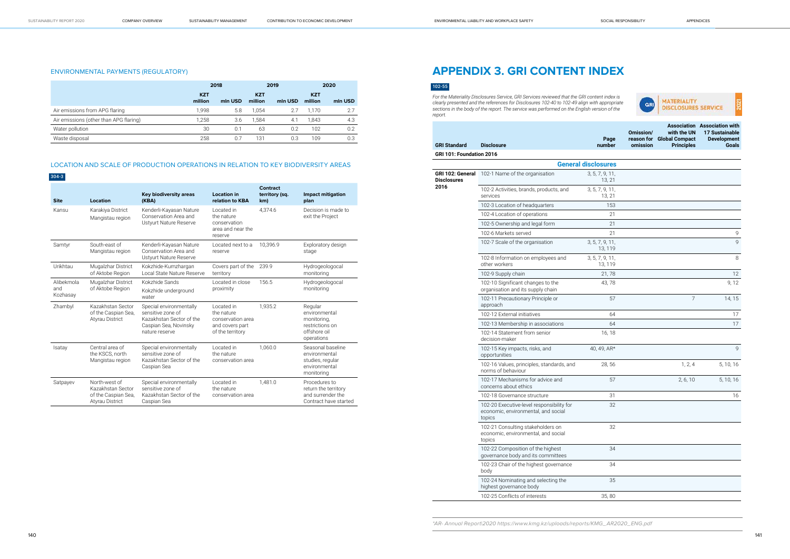#### ENVIRONMENTAL PAYMENTS (REGULATORY)

|                                        | 2018                  |         | 2019                  |         |                       | 2020    |
|----------------------------------------|-----------------------|---------|-----------------------|---------|-----------------------|---------|
|                                        | <b>KZT</b><br>million | mln USD | <b>KZT</b><br>million | mln USD | <b>KZT</b><br>million | min USD |
| Air emissions from APG flaring         | 1.998                 | 5.8     | 1.054                 | 2.7     | 1.170                 | 2.7     |
| Air emissions (other than APG flaring) | 1.258                 | 3.6     | 1,584                 | 4.1     | 1.843                 | 4.3     |
| Water pollution                        | 30                    | 0.1     | 63                    | 0.2     | 102                   | 0.2     |
| Waste disposal                         | 258                   | 0.7     | 131                   | 0.3     | 109                   | 0.3     |

#### LOCATION AND SCALE OF PRODUCTION OPERATIONS IN RELATION TO KEY BIODIVERSITY AREAS

#### 304-3

| <b>Site</b>                   | Location                                                                            | <b>Key biodiversity areas</b><br>(KBA)                                                                              | <b>Location in</b><br>relation to KBA                                                | Contract<br>territory (sq.<br>km) | <b>Impact mitigation</b><br>plan                                                         |
|-------------------------------|-------------------------------------------------------------------------------------|---------------------------------------------------------------------------------------------------------------------|--------------------------------------------------------------------------------------|-----------------------------------|------------------------------------------------------------------------------------------|
| Kansu                         | Karakiya District<br>Mangistau region                                               | Kenderli-Kayasan Nature<br>Conservation Area and<br>Ustvurt Nature Reserve                                          | Located in<br>the nature<br>conservation<br>area and near the<br>reserve             | 4,374.6                           | Decision is made to<br>exit the Project                                                  |
| Samtyr                        | South-east of<br>Mangistau region                                                   | Kenderli-Kayasan Nature<br>Conservation Area and<br>Ustyurt Nature Reserve                                          | Located next to a<br>reserve                                                         | 10.396.9                          | Exploratory design<br>stage                                                              |
| Urikhtau                      | Mugalzhar District<br>of Aktobe Region                                              | Kokzhide-Kumzhargan<br>Local State Nature Reserve                                                                   | Covers part of the<br>territory                                                      | 239.9                             | Hydrogeologocal<br>monitoring                                                            |
| Alibekmola<br>and<br>Kozhasay | Mugalzhar District<br>of Aktobe Region                                              | Kokzhide Sands<br>Kokzhide underground<br>water                                                                     | Located in close<br>proximity                                                        | 156.5                             | Hydrogeologocal<br>monitoring                                                            |
| Zhambyl                       | Kazakhstan Sector<br>of the Caspian Sea,<br><b>Atyrau District</b>                  | Special environmentally<br>sensitive zone of<br>Kazakhstan Sector of the<br>Caspian Sea, Novinsky<br>nature reserve | Located in<br>the nature<br>conservation area<br>and covers part<br>of the territory | 1.935.2                           | Regular<br>environmental<br>monitoring,<br>restrictions on<br>offshore oil<br>operations |
| Isatay                        | Central area of<br>the KSCS, north<br>Mangistau region                              | Special environmentally<br>sensitive zone of<br>Kazakhstan Sector of the<br>Caspian Sea                             | Located in<br>the nature<br>conservation area                                        | 1.060.0                           | Seasonal baseline<br>environmental<br>studies, regular<br>environmental<br>monitoring    |
| Satpayev                      | North-west of<br>Kazakhstan Sector<br>of the Caspian Sea,<br><b>Atyrau District</b> | Special environmentally<br>sensitive zone of<br>Kazakhstan Sector of the<br>Caspian Sea                             | Located in<br>the nature<br>conservation area                                        | 1,481.0                           | Procedures to<br>return the territory<br>and surrender the<br>Contract have started      |

## **APPENDIX 3. GRI CONTENT INDEX**

#### 102-55

|       |           |                           | <b>Association Association with</b> |
|-------|-----------|---------------------------|-------------------------------------|
|       | Omission/ | with the UN               | 17 Sustainable                      |
| Page  |           | reason for Global Compact | <b>Development</b>                  |
| umber | omission  | <b>Principles</b>         | Goals                               |
|       |           |                           |                                     |

| <b>GRI Standard</b>                            | <b>Disclosure</b>                                                                          | Page<br>number             | omission | reason for Global Compact<br><b>Principles</b> | Development<br><b>Goals</b> |
|------------------------------------------------|--------------------------------------------------------------------------------------------|----------------------------|----------|------------------------------------------------|-----------------------------|
| GRI 101: Foundation 2016                       |                                                                                            |                            |          |                                                |                             |
|                                                |                                                                                            | <b>General disclosures</b> |          |                                                |                             |
| GRI 102: General<br><b>Disclosures</b><br>2016 | 102-1 Name of the organisation                                                             | 3, 5, 7, 9, 11,<br>13, 21  |          |                                                |                             |
|                                                | 102-2 Activities, brands, products, and<br>services                                        | 3, 5, 7, 9, 11,<br>13, 21  |          |                                                |                             |
|                                                | 102-3 Location of headquarters                                                             | 153                        |          |                                                |                             |
|                                                | 102-4 Location of operations                                                               | 21                         |          |                                                |                             |
|                                                | 102-5 Ownership and legal form                                                             | 21                         |          |                                                |                             |
|                                                | 102-6 Markets served                                                                       | 21                         |          |                                                | 9                           |
|                                                | 102-7 Scale of the organisation                                                            | 3, 5, 7, 9, 11,<br>13, 119 |          |                                                | 9                           |
|                                                | 102-8 Information on employees and<br>other workers                                        | 3, 5, 7, 9, 11,<br>13, 119 |          |                                                | 8                           |
|                                                | 102-9 Supply chain                                                                         | 21,78                      |          |                                                | 12                          |
|                                                | 102-10 Significant changes to the<br>organisation and its supply chain                     | 43,78                      |          |                                                | 9, 12                       |
|                                                | 102-11 Precautionary Principle or<br>approach                                              | 57                         |          | $\overline{7}$                                 | 14, 15                      |
|                                                | 102-12 External initiatives                                                                | 64                         |          |                                                | 17                          |
|                                                | 102-13 Membership in associations                                                          | 64                         |          |                                                | 17                          |
|                                                | 102-14 Statement from senior<br>decision-maker                                             | 16, 18                     |          |                                                |                             |
|                                                | 102-15 Key impacts, risks, and<br>opportunities                                            | 40, 49, AR*                |          |                                                | 9                           |
|                                                | 102-16 Values, principles, standards, and<br>norms of behaviour                            | 28,56                      |          | 1, 2, 4                                        | 5, 10, 16                   |
|                                                | 102-17 Mechanisms for advice and<br>concerns about ethics                                  | 57                         |          | 2, 6, 10                                       | 5, 10, 16                   |
|                                                | 102-18 Governance structure                                                                | 31                         |          |                                                | 16                          |
|                                                | 102-20 Executive-level responsibility for<br>economic, environmental, and social<br>topics | 32                         |          |                                                |                             |
|                                                | 102-21 Consulting stakeholders on<br>economic, environmental, and social<br>topics         | 32                         |          |                                                |                             |
|                                                | 102-22 Composition of the highest<br>governance body and its committees                    | 34                         |          |                                                |                             |
|                                                | 102-23 Chair of the highest governance<br>body                                             | 34                         |          |                                                |                             |
|                                                | 102-24 Nominating and selecting the<br>highest governance body                             | 35                         |          |                                                |                             |
|                                                | 102-25 Conflicts of interests                                                              | 35,80                      |          |                                                |                             |
|                                                |                                                                                            |                            |          |                                                |                             |

*For the Materiality Disclosures Service, GRI Services reviewed that the GRI content index is clearly presented and the references for Disclosures 102-40 to 102-49 align with appropriate sections in the body of the report. The service was performed on the English version of the report.*

\*AR- Annual Report|2020 https://www.kmg.kz/uploads/reports/KMG\_AR2020\_ENG.pdf

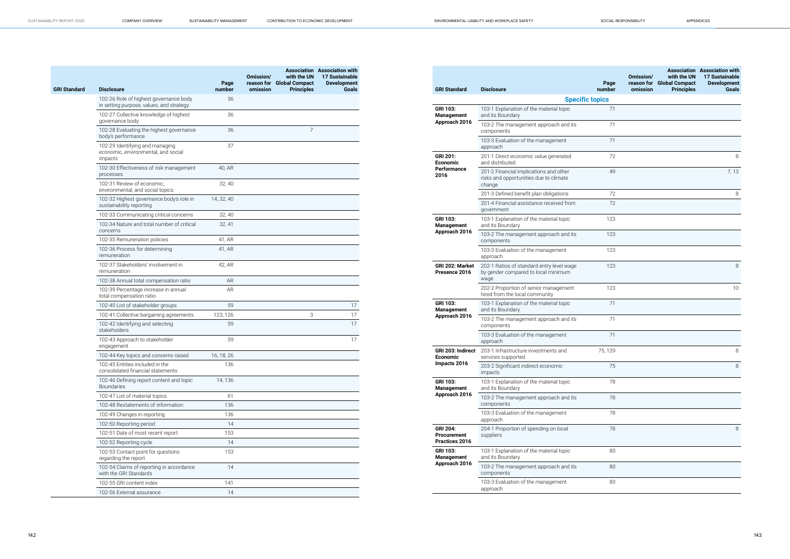| <b>GRI Standard</b> | <b>Disclosure</b>                                                                  | Page<br>number | Omission/<br>omission | with the UN<br>reason for Global Compact<br><b>Principles</b> | <b>Association</b> Association with<br><b>17 Sustainable</b><br><b>Development</b><br>Goals |
|---------------------|------------------------------------------------------------------------------------|----------------|-----------------------|---------------------------------------------------------------|---------------------------------------------------------------------------------------------|
|                     | 102-26 Role of highest governance body<br>in setting purpose, values, and strategy | 36             |                       |                                                               |                                                                                             |
|                     | 102-27 Collective knowledge of highest<br>governance body                          | 36             |                       |                                                               |                                                                                             |
|                     | 102-28 Evaluating the highest governance<br>body's performance                     | 36             |                       | 7                                                             |                                                                                             |
|                     | 102-29 Identifying and managing<br>economic, environmental, and social<br>impacts  | 37             |                       |                                                               |                                                                                             |
|                     | 102-30 Effectiveness of risk management<br>processes                               | 40, AR         |                       |                                                               |                                                                                             |
|                     | 102-31 Review of economic.<br>environmental, and social topics                     | 32, 40         |                       |                                                               |                                                                                             |
|                     | 102-32 Highest governance body's role in<br>sustainability reporting               | 14, 32, 40     |                       |                                                               |                                                                                             |
|                     | 102-33 Communicating critical concerns                                             | 32, 40         |                       |                                                               |                                                                                             |
|                     | 102-34 Nature and total number of critical<br>concerns                             | 32, 41         |                       |                                                               |                                                                                             |
|                     | 102-35 Remuneration policies                                                       | 41, AR         |                       |                                                               |                                                                                             |
|                     | 102-36 Process for determining<br>remuneration                                     | 41, AR         |                       |                                                               |                                                                                             |
|                     | 102-37 Stakeholders' involvement in<br>remuneration                                | 42, AR         |                       |                                                               |                                                                                             |
|                     | 102-38 Annual total compensation ratio                                             | <b>AR</b>      |                       |                                                               |                                                                                             |
|                     | 102-39 Percentage increase in annual<br>total compensation ratio                   | AR             |                       |                                                               |                                                                                             |
|                     | 102-40 List of stakeholder groups                                                  | 59             |                       |                                                               | 17                                                                                          |
|                     | 102-41 Collective bargaining agreements                                            | 123, 126       |                       | 3                                                             | 17                                                                                          |
|                     | 102-42 Identifying and selecting<br>stakeholders                                   | 59             |                       |                                                               | 17                                                                                          |
|                     | 102-43 Approach to stakeholder<br>engagement                                       | 59             |                       |                                                               | 17                                                                                          |
|                     | 102-44 Key topics and concerns raised                                              | 16, 18, 26     |                       |                                                               |                                                                                             |
|                     | 102-45 Entities included in the<br>consolidated financial statements               | 136            |                       |                                                               |                                                                                             |
|                     | 102-46 Defining report content and topic<br><b>Boundaries</b>                      | 14, 136        |                       |                                                               |                                                                                             |
|                     | 102-47 List of material topics                                                     | 61             |                       |                                                               |                                                                                             |
|                     | 102-48 Restatements of information                                                 | 136            |                       |                                                               |                                                                                             |
|                     | 102-49 Changes in reporting                                                        | 136            |                       |                                                               |                                                                                             |
|                     | 102-50 Reporting period                                                            | 14             |                       |                                                               |                                                                                             |
|                     | 102-51 Date of most recent report                                                  | 153            |                       |                                                               |                                                                                             |
|                     | 102-52 Reporting cycle                                                             | 14             |                       |                                                               |                                                                                             |
|                     | 102-53 Contact point for questions<br>regarding the report                         | 153            |                       |                                                               |                                                                                             |
|                     | 102-54 Claims of reporting in accordance<br>with the GRI Standards                 | 14             |                       |                                                               |                                                                                             |
|                     | 102-55 GRI content index                                                           | 141            |                       |                                                               |                                                                                             |
|                     | 102-56 External assurance                                                          | 14             |                       |                                                               |                                                                                             |
|                     |                                                                                    |                |                       |                                                               |                                                                                             |

| <b>GRI Standard</b>                                     | <b>Disclosure</b>                                                                          | Page<br>number         | Omission/<br>reason for<br>omission | with the UN<br><b>Global Compact</b><br><b>Principles</b> | <b>Association</b> Association with<br><b>17 Sustainable</b><br><b>Development</b><br>Goals |
|---------------------------------------------------------|--------------------------------------------------------------------------------------------|------------------------|-------------------------------------|-----------------------------------------------------------|---------------------------------------------------------------------------------------------|
|                                                         |                                                                                            | <b>Specific topics</b> |                                     |                                                           |                                                                                             |
| <b>GRI 103:</b><br>Management                           | 103-1 Explanation of the material topic<br>and its Boundary                                | 71                     |                                     |                                                           |                                                                                             |
| Approach 2016                                           | 103-2 The management approach and its<br>components                                        | 71                     |                                     |                                                           |                                                                                             |
|                                                         | 103-3 Evaluation of the management<br>approach                                             | 71                     |                                     |                                                           |                                                                                             |
| <b>GRI 201:</b><br><b>Economic</b>                      | 201-1 Direct economic value generated<br>and distributed                                   | 72                     |                                     |                                                           | 8                                                                                           |
| <b>Performance</b><br>2016                              | 201-2 Financial implications and other<br>risks and opportunities due to climate<br>change | 49                     |                                     |                                                           | 7, 13                                                                                       |
|                                                         | 201-3 Defined benefit plan obligations                                                     | 72                     |                                     |                                                           | 8                                                                                           |
|                                                         | 201-4 Financial assistance received from<br>government                                     | 72                     |                                     |                                                           |                                                                                             |
| <b>GRI 103:</b><br><b>Management</b>                    | 103-1 Explanation of the material topic<br>and its Boundary                                | 123                    |                                     |                                                           |                                                                                             |
| Approach 2016                                           | 103-2 The management approach and its<br>components                                        | 123                    |                                     |                                                           |                                                                                             |
|                                                         | 103-3 Evaluation of the management<br>approach                                             | 123                    |                                     |                                                           |                                                                                             |
| <b>GRI 202: Market</b><br>Presence 2016                 | 202-1 Ratios of standard entry level wage<br>by gender compared to local minimum<br>wage   | 123                    |                                     |                                                           | 8                                                                                           |
|                                                         | 202-2 Proportion of senior management<br>hired from the local community                    | 123                    |                                     |                                                           | 10                                                                                          |
| <b>GRI 103:</b><br>Management                           | 103-1 Explanation of the material topic<br>and its Boundary                                | 71                     |                                     |                                                           |                                                                                             |
| Approach 2016                                           | 103-2 The management approach and its<br>components                                        | 71                     |                                     |                                                           |                                                                                             |
|                                                         | 103-3 Evaluation of the management<br>approach                                             | 71                     |                                     |                                                           |                                                                                             |
| GRI 203: Indirect<br>Economic                           | 203-1 Infrastructure investments and<br>services supported                                 | 75, 129                |                                     |                                                           | 8                                                                                           |
| Impacts 2016                                            | 203-2 Significant indirect economic<br>impacts                                             | 75                     |                                     |                                                           | 8                                                                                           |
| <b>GRI 103:</b><br><b>Management</b>                    | 103-1 Explanation of the material topic<br>and its Boundary                                | 78                     |                                     |                                                           |                                                                                             |
| Approach 2016                                           | 103-2 The management approach and its<br>components                                        | 78                     |                                     |                                                           |                                                                                             |
|                                                         | 103-3 Evaluation of the management<br>approach                                             | 78                     |                                     |                                                           |                                                                                             |
| <b>GRI 204:</b><br><b>Procurement</b><br>Practices 2016 | 204-1 Proportion of spending on local<br>suppliers                                         | 78                     |                                     |                                                           | 8                                                                                           |
| <b>GRI 103:</b><br><b>Management</b>                    | 103-1 Explanation of the material topic<br>and its Boundary                                | 80                     |                                     |                                                           |                                                                                             |
| Approach 2016                                           | 103-2 The management approach and its<br>components                                        | 80                     |                                     |                                                           |                                                                                             |
|                                                         | 103-3 Evaluation of the management<br>approach                                             | 80                     |                                     |                                                           |                                                                                             |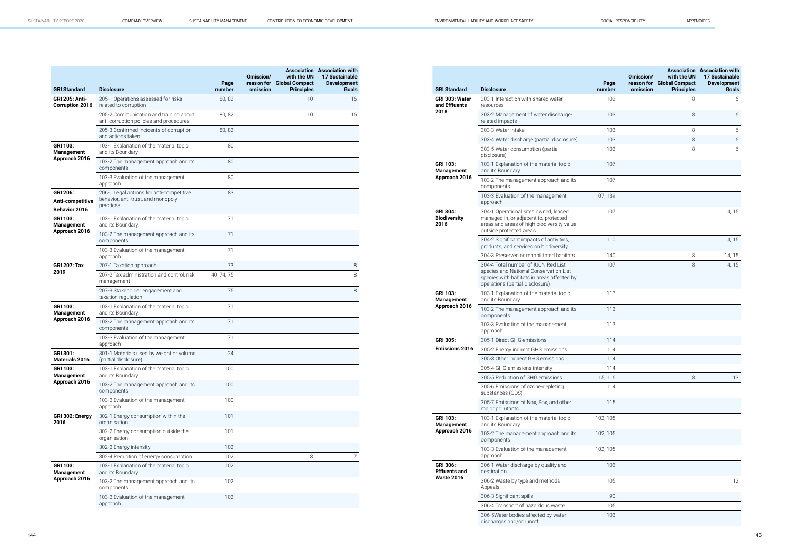| <b>GRI Standard</b>                                  | <b>Disclosure</b>                                                                           | Page<br>number | Omission/<br>omission | with the UN<br>reason for Global Compact<br><b>Principles</b> | <b>Association</b> Association with<br>17 Sustainable<br><b>Development</b><br><b>Goals</b> |
|------------------------------------------------------|---------------------------------------------------------------------------------------------|----------------|-----------------------|---------------------------------------------------------------|---------------------------------------------------------------------------------------------|
| <b>GRI 205: Anti-</b><br><b>Corruption 2016</b>      | 205-1 Operations assessed for risks<br>related to corruption                                | 80, 82         |                       | 10                                                            | 16                                                                                          |
|                                                      | 205-2 Communication and training about<br>anti-corruption policies and procedures           | 80, 82         |                       | 10                                                            | 16                                                                                          |
|                                                      | 205-3 Confirmed incidents of corruption<br>and actions taken                                | 80,82          |                       |                                                               |                                                                                             |
| <b>GRI 103:</b><br><b>Management</b>                 | 103-1 Explanation of the material topic<br>and its Boundary                                 | 80             |                       |                                                               |                                                                                             |
| Approach 2016                                        | 103-2 The management approach and its<br>components                                         | 80             |                       |                                                               |                                                                                             |
|                                                      | 103-3 Evaluation of the management<br>approach                                              | 80             |                       |                                                               |                                                                                             |
| <b>GRI 206:</b><br>Anti-competitive<br>Behavior 2016 | 206-1 Legal actions for anti-competitive<br>behavior, anti-trust, and monopoly<br>practices | 83             |                       |                                                               |                                                                                             |
| <b>GRI 103:</b><br><b>Management</b>                 | 103-1 Explanation of the material topic<br>and its Boundary                                 | 71             |                       |                                                               |                                                                                             |
| Approach 2016                                        | 103-2 The management approach and its<br>components                                         | 71             |                       |                                                               |                                                                                             |
|                                                      | 103-3 Evaluation of the management<br>approach                                              | 71             |                       |                                                               |                                                                                             |
| <b>GRI 207: Tax</b>                                  | 207-1 Taxation approach                                                                     | 73             |                       |                                                               | 8                                                                                           |
| 2019                                                 | 207-2 Tax administration and control, risk<br>management                                    | 40, 74, 75     |                       |                                                               | 8                                                                                           |
|                                                      | 207-3 Stakeholder engagement and<br>taxation regulation                                     | 75             |                       |                                                               | 8                                                                                           |
| <b>GRI 103:</b><br><b>Management</b>                 | 103-1 Explanation of the material topic<br>and its Boundary                                 | 71             |                       |                                                               |                                                                                             |
| Approach 2016                                        | 103-2 The management approach and its<br>components                                         | 71             |                       |                                                               |                                                                                             |
|                                                      | 103-3 Evaluation of the management<br>approach                                              | 71             |                       |                                                               |                                                                                             |
| GRI 301:<br>Materials 2016                           | 301-1 Materials used by weight or volume<br>(partial disclosure)                            | 24             |                       |                                                               |                                                                                             |
| <b>GRI 103:</b><br><b>Management</b>                 | 103-1 Explanation of the material topic<br>and its Boundary                                 | 100            |                       |                                                               |                                                                                             |
| Approach 2016                                        | 103-2 The management approach and its<br>components                                         | 100            |                       |                                                               |                                                                                             |
|                                                      | 103-3 Evaluation of the management<br>approach                                              | 100            |                       |                                                               |                                                                                             |
| GRI 302: Energy<br>2016                              | 302-1 Energy consumption within the<br>organisation                                         | 101            |                       |                                                               |                                                                                             |
|                                                      | 302-2 Energy consumption outside the<br>organisation                                        | 101            |                       |                                                               |                                                                                             |
|                                                      | 302-3 Energy intensity                                                                      | 102            |                       |                                                               |                                                                                             |
|                                                      | 302-4 Reduction of energy consumption                                                       | 102            |                       | 8                                                             | $\overline{7}$                                                                              |
| <b>GRI 103:</b><br><b>Management</b>                 | 103-1 Explanation of the material topic<br>and its Boundary                                 | 102            |                       |                                                               |                                                                                             |
| Approach 2016                                        | 103-2 The management approach and its<br>components                                         | 102            |                       |                                                               |                                                                                             |
|                                                      | 103-3 Evaluation of the management<br>approach                                              | 102            |                       |                                                               |                                                                                             |

|                                                |                                                                                                                                                                | Page     | Omission/<br>reason for | with the UN<br><b>Global Compact</b> | <b>Association</b> Association with<br><b>17 Sustainable</b><br><b>Development</b> |
|------------------------------------------------|----------------------------------------------------------------------------------------------------------------------------------------------------------------|----------|-------------------------|--------------------------------------|------------------------------------------------------------------------------------|
| <b>GRI Standard</b>                            | <b>Disclosure</b>                                                                                                                                              | number   | omission                | <b>Principles</b>                    | <b>Goals</b>                                                                       |
| GRI 303: Water<br>and Effluents<br>2018        | 303-1 Interaction with shared water<br>resources                                                                                                               | 103      |                         | 8                                    | 6                                                                                  |
|                                                | 303-2 Management of water discharge-<br>related impacts                                                                                                        | 103      |                         | 8                                    | 6                                                                                  |
|                                                | 303-3 Water intake                                                                                                                                             | 103      |                         | 8                                    | 6                                                                                  |
|                                                | 303-4 Water discharge (partial disclosure)                                                                                                                     | 103      |                         | 8                                    | 6                                                                                  |
|                                                | 303-5 Water consumption (partial<br>disclosure)                                                                                                                | 103      |                         | 8                                    | 6                                                                                  |
| <b>GRI 103:</b><br><b>Management</b>           | 103-1 Explanation of the material topic<br>and its Boundary                                                                                                    | 107      |                         |                                      |                                                                                    |
| Approach 2016                                  | 103-2 The management approach and its<br>components                                                                                                            | 107      |                         |                                      |                                                                                    |
|                                                | 103-3 Evaluation of the management<br>approach                                                                                                                 | 107, 139 |                         |                                      |                                                                                    |
| <b>GRI 304:</b><br><b>Biodiversity</b><br>2016 | 304-1 Operational sites owned, leased,<br>managed in, or adjacent to, protected<br>areas and areas of high biodiversity value<br>outside protected areas       | 107      |                         |                                      | 14, 15                                                                             |
|                                                | 304-2 Significant impacts of activities,<br>products, and services on biodiversity                                                                             | 110      |                         |                                      | 14, 15                                                                             |
|                                                | 304-3 Preserved or rehabilitated habitats                                                                                                                      | 140      |                         | 8                                    | 14, 15                                                                             |
|                                                | 304-4 Total number of IUCN Red List<br>species and National Conservation List<br>species with habitats in areas affected by<br>operations (partial disclosure) | 107      |                         | 8                                    | 14, 15                                                                             |
| <b>GRI 103:</b><br><b>Management</b>           | 103-1 Explanation of the material topic<br>and its Boundary                                                                                                    | 113      |                         |                                      |                                                                                    |
| Approach 2016                                  | 103-2 The management approach and its<br>components                                                                                                            | 113      |                         |                                      |                                                                                    |
|                                                | 103-3 Evaluation of the management<br>approach                                                                                                                 | 113      |                         |                                      |                                                                                    |
| <b>GRI 305:</b>                                | 305-1 Direct GHG emissions                                                                                                                                     | 114      |                         |                                      |                                                                                    |
| <b>Emissions 2016</b>                          | 305-2 Energy indirect GHG emissions                                                                                                                            | 114      |                         |                                      |                                                                                    |
|                                                | 305-3 Other indirect GHG emissions                                                                                                                             | 114      |                         |                                      |                                                                                    |
|                                                | 305-4 GHG emissions intensity                                                                                                                                  | 114      |                         |                                      |                                                                                    |
|                                                | 305-5 Reduction of GHG emissions                                                                                                                               | 115, 116 |                         | 8                                    | 13                                                                                 |
|                                                | 305-6 Emissions of ozone-depleting<br>substances (ODS)                                                                                                         | 114      |                         |                                      |                                                                                    |
|                                                | 305-7 Emissions of Nox, Sox, and other<br>major pollutants                                                                                                     | 115      |                         |                                      |                                                                                    |
| GRI 103:<br><b>Management</b>                  | 103-1 Explanation of the material topic<br>and its Boundary                                                                                                    | 102, 105 |                         |                                      |                                                                                    |
| Approach 2016                                  | 103-2 The management approach and its<br>components                                                                                                            | 102, 105 |                         |                                      |                                                                                    |
|                                                | 103-3 Evaluation of the management<br>approach                                                                                                                 | 102, 105 |                         |                                      |                                                                                    |
| GRI 306:<br><b>Effluents and</b>               | 306-1 Water discharge by quality and<br>destination                                                                                                            | 103      |                         |                                      |                                                                                    |
| <b>Waste 2016</b>                              | 306-2 Waste by type and methods<br>Appeals                                                                                                                     | 105      |                         |                                      | 12                                                                                 |
|                                                | 306-3 Significant spills                                                                                                                                       | 90       |                         |                                      |                                                                                    |
|                                                | 306-4 Transport of hazardous waste                                                                                                                             | 105      |                         |                                      |                                                                                    |
|                                                | 306-5Water bodies affected by water<br>discharges and/or runoff                                                                                                | 103      |                         |                                      |                                                                                    |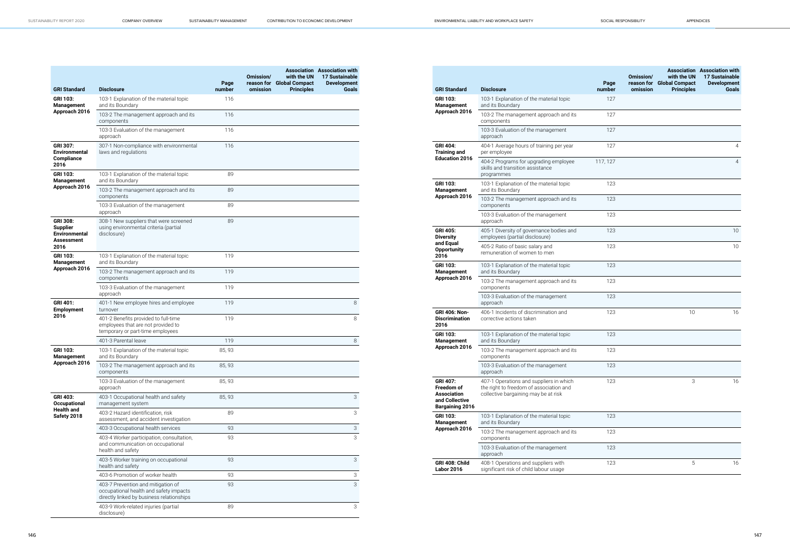| <b>GRI Standard</b>                                                              | <b>Disclosure</b>                                                                                                         | Page<br>number | Omission/<br>reason for<br>omission | with the UN<br><b>Global Compact</b><br><b>Principles</b> | <b>Association Association with</b><br><b>17 Sustainable</b><br><b>Development</b><br>Goals |
|----------------------------------------------------------------------------------|---------------------------------------------------------------------------------------------------------------------------|----------------|-------------------------------------|-----------------------------------------------------------|---------------------------------------------------------------------------------------------|
| GRI 103:<br>Management                                                           | 103-1 Explanation of the material topic<br>and its Boundary                                                               | 116            |                                     |                                                           |                                                                                             |
| Approach 2016                                                                    | 103-2 The management approach and its<br>components                                                                       | 116            |                                     |                                                           |                                                                                             |
|                                                                                  | 103-3 Evaluation of the management<br>approach                                                                            | 116            |                                     |                                                           |                                                                                             |
| <b>GRI 307:</b><br><b>Environmental</b><br><b>Compliance</b><br>2016             | 307-1 Non-compliance with environmental<br>laws and regulations                                                           | 116            |                                     |                                                           |                                                                                             |
| GRI 103:<br>Management                                                           | 103-1 Explanation of the material topic<br>and its Boundary                                                               | 89             |                                     |                                                           |                                                                                             |
| Approach 2016                                                                    | 103-2 The management approach and its<br>components                                                                       | 89             |                                     |                                                           |                                                                                             |
|                                                                                  | 103-3 Evaluation of the management<br>approach                                                                            | 89             |                                     |                                                           |                                                                                             |
| <b>GRI 308:</b><br><b>Supplier</b><br><b>Environmental</b><br>Assessment<br>2016 | 308-1 New suppliers that were screened<br>using environmental criteria (partial<br>disclosure)                            | 89             |                                     |                                                           |                                                                                             |
| GRI 103:<br>Management                                                           | 103-1 Explanation of the material topic<br>and its Boundary                                                               | 119            |                                     |                                                           |                                                                                             |
| Approach 2016                                                                    | 103-2 The management approach and its<br>components                                                                       | 119            |                                     |                                                           |                                                                                             |
|                                                                                  | 103-3 Evaluation of the management<br>approach                                                                            | 119            |                                     |                                                           |                                                                                             |
| GRI 401:<br><b>Employment</b>                                                    | 401-1 New employee hires and employee<br>turnover                                                                         | 119            |                                     |                                                           | 8                                                                                           |
| 2016                                                                             | 401-2 Benefits provided to full-time<br>employees that are not provided to<br>temporary or part-time employees            | 119            |                                     |                                                           | 8                                                                                           |
|                                                                                  | 401-3 Parental leave                                                                                                      | 119            |                                     |                                                           | 8                                                                                           |
| <b>GRI 103:</b><br>Management                                                    | 103-1 Explanation of the material topic<br>and its Boundary                                                               | 85, 93         |                                     |                                                           |                                                                                             |
| Approach 2016                                                                    | 103-2 The management approach and its<br>components                                                                       | 85, 93         |                                     |                                                           |                                                                                             |
|                                                                                  | 103-3 Evaluation of the management<br>approach                                                                            | 85, 93         |                                     |                                                           |                                                                                             |
| <b>GRI 403:</b><br>Occupational                                                  | 403-1 Occupational health and safety<br>management system                                                                 | 85, 93         |                                     |                                                           | 3                                                                                           |
| Health and<br>Safety 2018                                                        | 403-2 Hazard identification, risk<br>assessment, and accident investigation                                               | 89             |                                     |                                                           | 3                                                                                           |
|                                                                                  | 403-3 Occupational health services                                                                                        | 93             |                                     |                                                           | 3                                                                                           |
|                                                                                  | 403-4 Worker participation, consultation,<br>and communication on occupational<br>health and safety                       | 93             |                                     |                                                           | 3                                                                                           |
|                                                                                  | 403-5 Worker training on occupational<br>health and safety                                                                | 93             |                                     |                                                           | 3                                                                                           |
|                                                                                  | 403-6 Promotion of worker health                                                                                          | 93             |                                     |                                                           | 3                                                                                           |
|                                                                                  | 403-7 Prevention and mitigation of<br>occupational health and safety impacts<br>directly linked by business relationships | 93             |                                     |                                                           | 3                                                                                           |
|                                                                                  | 403-9 Work-related injuries (partial<br>disclosure)                                                                       | 89             |                                     |                                                           | 3                                                                                           |

| <b>GRI Standard</b>                                                                             | <b>Disclosure</b>                                                                                                          | Page<br>number | Omission/<br>reason for<br>omission | with the UN<br><b>Global Compact</b><br><b>Principles</b> | <b>Association Association with</b><br><b>17 Sustainable</b><br><b>Development</b><br><b>Goals</b> |
|-------------------------------------------------------------------------------------------------|----------------------------------------------------------------------------------------------------------------------------|----------------|-------------------------------------|-----------------------------------------------------------|----------------------------------------------------------------------------------------------------|
| <b>GRI 103:</b><br><b>Management</b>                                                            | 103-1 Explanation of the material topic<br>and its Boundary                                                                | 127            |                                     |                                                           |                                                                                                    |
| Approach 2016                                                                                   | 103-2 The management approach and its<br>components                                                                        | 127            |                                     |                                                           |                                                                                                    |
|                                                                                                 | 103-3 Evaluation of the management<br>approach                                                                             | 127            |                                     |                                                           |                                                                                                    |
| <b>GRI 404:</b><br><b>Training and</b>                                                          | 404-1 Average hours of training per year<br>per employee                                                                   | 127            |                                     |                                                           | 4                                                                                                  |
| <b>Education 2016</b>                                                                           | 404-2 Programs for upgrading employee<br>skills and transition assistance<br>programmes                                    | 117, 127       |                                     |                                                           | $\overline{4}$                                                                                     |
| <b>GRI 103:</b><br><b>Management</b>                                                            | 103-1 Explanation of the material topic<br>and its Boundary                                                                | 123            |                                     |                                                           |                                                                                                    |
| Approach 2016                                                                                   | 103-2 The management approach and its<br>components                                                                        | 123            |                                     |                                                           |                                                                                                    |
|                                                                                                 | 103-3 Evaluation of the management<br>approach                                                                             | 123            |                                     |                                                           |                                                                                                    |
| <b>GRI 405:</b><br><b>Diversity</b>                                                             | 405-1 Diversity of governance bodies and<br>employees (partial disclosure)                                                 | 123            |                                     |                                                           | 10                                                                                                 |
| and Equal<br><b>Opportunity</b><br>2016                                                         | 405-2 Ratio of basic salary and<br>remuneration of women to men                                                            | 123            |                                     |                                                           | 10 <sup>°</sup>                                                                                    |
| <b>GRI 103:</b><br><b>Management</b>                                                            | 103-1 Explanation of the material topic<br>and its Boundary                                                                | 123            |                                     |                                                           |                                                                                                    |
| Approach 2016                                                                                   | 103-2 The management approach and its<br>components                                                                        | 123            |                                     |                                                           |                                                                                                    |
|                                                                                                 | 103-3 Evaluation of the management<br>approach                                                                             | 123            |                                     |                                                           |                                                                                                    |
| <b>GRI 406: Non-</b><br><b>Discrimination</b><br>2016                                           | 406-1 Incidents of discrimination and<br>corrective actions taken                                                          | 123            |                                     | 10                                                        | 16                                                                                                 |
| <b>GRI 103:</b><br><b>Management</b>                                                            | 103-1 Explanation of the material topic<br>and its Boundary                                                                | 123            |                                     |                                                           |                                                                                                    |
| Approach 2016                                                                                   | 103-2 The management approach and its<br>components                                                                        | 123            |                                     |                                                           |                                                                                                    |
|                                                                                                 | 103-3 Evaluation of the management<br>approach                                                                             | 123            |                                     |                                                           |                                                                                                    |
| <b>GRI 407:</b><br>Freedom of<br><b>Association</b><br>and Collective<br><b>Bargaining 2016</b> | 407-1 Operations and suppliers in which<br>the right to freedom of association and<br>collective bargaining may be at risk | 123            |                                     | 3                                                         | 16                                                                                                 |
| <b>GRI 103:</b><br><b>Management</b>                                                            | 103-1 Explanation of the material topic<br>and its Boundary                                                                | 123            |                                     |                                                           |                                                                                                    |
| Approach 2016                                                                                   | 103-2 The management approach and its<br>components                                                                        | 123            |                                     |                                                           |                                                                                                    |
|                                                                                                 | 103-3 Evaluation of the management<br>approach                                                                             | 123            |                                     |                                                           |                                                                                                    |
| GRI 408: Child<br><b>Labor 2016</b>                                                             | 408-1 Operations and suppliers with<br>significant risk of child labour usage                                              | 123            |                                     | 5                                                         | 16                                                                                                 |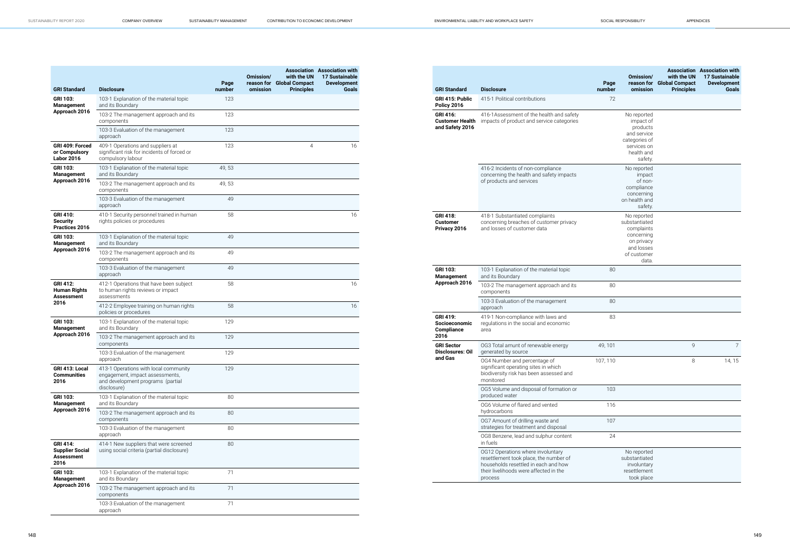| <b>GRI Standard</b>                                             | <b>Disclosure</b>                                                                                                            | Page<br>number | Omission/<br>omission | with the UN<br>reason for Global Compact<br><b>Principles</b> | <b>Association</b> Association with<br>17 Sustainable<br><b>Development</b><br>Goals |
|-----------------------------------------------------------------|------------------------------------------------------------------------------------------------------------------------------|----------------|-----------------------|---------------------------------------------------------------|--------------------------------------------------------------------------------------|
| GRI 103:<br>Management<br>Approach 2016                         | 103-1 Explanation of the material topic<br>and its Boundary                                                                  | 123            |                       |                                                               |                                                                                      |
|                                                                 | 103-2 The management approach and its<br>components                                                                          | 123            |                       |                                                               |                                                                                      |
|                                                                 | 103-3 Evaluation of the management<br>approach                                                                               | 123            |                       |                                                               |                                                                                      |
| GRI 409: Forced<br>or Compulsory<br><b>Labor 2016</b>           | 409-1 Operations and suppliers at<br>significant risk for incidents of forced or<br>compulsory labour                        | 123            |                       | 4                                                             | 16                                                                                   |
| <b>GRI 103:</b><br><b>Management</b>                            | 103-1 Explanation of the material topic<br>and its Boundary                                                                  | 49,53          |                       |                                                               |                                                                                      |
| Approach 2016                                                   | 103-2 The management approach and its<br>components                                                                          | 49, 53         |                       |                                                               |                                                                                      |
|                                                                 | 103-3 Evaluation of the management<br>approach                                                                               | 49             |                       |                                                               |                                                                                      |
| <b>GRI 410:</b><br>Security<br>Practices 2016                   | 410-1 Security personnel trained in human<br>rights policies or procedures                                                   | 58             |                       |                                                               | 16                                                                                   |
| GRI 103:<br><b>Management</b>                                   | 103-1 Explanation of the material topic<br>and its Boundary                                                                  | 49             |                       |                                                               |                                                                                      |
| Approach 2016                                                   | 103-2 The management approach and its<br>components                                                                          | 49             |                       |                                                               |                                                                                      |
|                                                                 | 103-3 Evaluation of the management<br>approach                                                                               | 49             |                       |                                                               |                                                                                      |
| <b>GRI 412:</b><br><b>Human Rights</b><br>Assessment            | 412-1 Operations that have been subject<br>to human rights reviews or impact<br>assessments                                  | 58             |                       |                                                               | 16                                                                                   |
| 2016                                                            | 412-2 Employee training on human rights<br>policies or procedures                                                            | 58             |                       |                                                               | 16                                                                                   |
| <b>GRI 103:</b><br>Management                                   | 103-1 Explanation of the material topic<br>and its Boundary                                                                  | 129            |                       |                                                               |                                                                                      |
| Approach 2016                                                   | 103-2 The management approach and its<br>components                                                                          | 129            |                       |                                                               |                                                                                      |
|                                                                 | 103-3 Evaluation of the management<br>approach                                                                               | 129            |                       |                                                               |                                                                                      |
| GRI 413: Local<br><b>Communities</b><br>2016                    | 413-1 Operations with local community<br>engagement, impact assessments,<br>and development programs (partial<br>disclosure) | 129            |                       |                                                               |                                                                                      |
| <b>GRI 103:</b><br><b>Management</b>                            | 103-1 Explanation of the material topic<br>and its Boundary                                                                  | 80             |                       |                                                               |                                                                                      |
| Approach 2016                                                   | 103-2 The management approach and its<br>components                                                                          | 80             |                       |                                                               |                                                                                      |
|                                                                 | 103-3 Evaluation of the management<br>approach                                                                               | 80             |                       |                                                               |                                                                                      |
| GRI 414:<br><b>Supplier Social</b><br><b>Assessment</b><br>2016 | 414-1 New suppliers that were screened<br>using social criteria (partial disclosure)                                         | 80             |                       |                                                               |                                                                                      |
| <b>GRI 103:</b><br><b>Management</b><br>Approach 2016           | 103-1 Explanation of the material topic<br>and its Boundary                                                                  | 71             |                       |                                                               |                                                                                      |
|                                                                 | 103-2 The management approach and its<br>components                                                                          | 71             |                       |                                                               |                                                                                      |
|                                                                 | 103-3 Evaluation of the management<br>approach                                                                               | 71             |                       |                                                               |                                                                                      |

|                                                              |                                                                                                                                                                          | Page     | Omission/                                                                                                    | with the UN<br>reason for Global Compact | <b>Association</b> Association with<br>17 Sustainable<br><b>Development</b> |
|--------------------------------------------------------------|--------------------------------------------------------------------------------------------------------------------------------------------------------------------------|----------|--------------------------------------------------------------------------------------------------------------|------------------------------------------|-----------------------------------------------------------------------------|
| <b>GRI Standard</b>                                          | <b>Disclosure</b>                                                                                                                                                        | number   | omission                                                                                                     | <b>Principles</b>                        | <b>Goals</b>                                                                |
| GRI 415: Public<br><b>Policy 2016</b>                        | 415-1 Political contributions                                                                                                                                            | 72       |                                                                                                              |                                          |                                                                             |
| <b>GRI 416:</b><br><b>Customer Health</b><br>and Safety 2016 | 416-1Assessment of the health and safety<br>impacts of product and service categories                                                                                    |          | No reported<br>impact of<br>products<br>and service<br>categories of<br>services on<br>health and<br>safety. |                                          |                                                                             |
|                                                              | 416-2 Incidents of non-compliance<br>concerning the health and safety impacts<br>of products and services                                                                |          | No reported<br>impact<br>of non-<br>compliance<br>concerning<br>on health and<br>safety.                     |                                          |                                                                             |
| <b>GRI 418:</b><br><b>Customer</b><br>Privacy 2016           | 418-1 Substantiated complaints<br>concerning breaches of customer privacy<br>and losses of customer data                                                                 |          | No reported<br>substantiated<br>complaints<br>concerning<br>on privacy<br>and losses<br>of customer<br>data. |                                          |                                                                             |
| <b>GRI 103:</b><br>Management                                | 103-1 Explanation of the material topic<br>and its Boundary                                                                                                              | 80       |                                                                                                              |                                          |                                                                             |
| Approach 2016                                                | 103-2 The management approach and its<br>components                                                                                                                      | 80       |                                                                                                              |                                          |                                                                             |
|                                                              | 103-3 Evaluation of the management<br>approach                                                                                                                           | 80       |                                                                                                              |                                          |                                                                             |
| <b>GRI 419:</b><br>Socioeconomic<br>Compliance<br>2016       | 419-1 Non-compliance with laws and<br>regulations in the social and economic<br>area                                                                                     | 83       |                                                                                                              |                                          |                                                                             |
| <b>GRI Sector</b><br><b>Disclosures: Oil</b>                 | OG3 Total amunt of renewable energy<br>generated by source                                                                                                               | 49, 101  |                                                                                                              | 9                                        | $\overline{7}$                                                              |
| and Gas                                                      | OG4 Number and percentage of<br>significant operating sites in which<br>biodiversity risk has been assessed and<br>monitored                                             | 107, 110 |                                                                                                              | 8                                        | 14, 15                                                                      |
|                                                              | OG5 Volume and disposal of formation or<br>produced water                                                                                                                | 103      |                                                                                                              |                                          |                                                                             |
|                                                              | OG6 Volume of flared and vented<br>hydrocarbons                                                                                                                          | 116      |                                                                                                              |                                          |                                                                             |
|                                                              | OG7 Amount of drilling waste and<br>strategies for treatment and disposal                                                                                                | 107      |                                                                                                              |                                          |                                                                             |
|                                                              | OG8 Benzene, lead and sulphur content<br>in fuels                                                                                                                        | 24       |                                                                                                              |                                          |                                                                             |
|                                                              | OG12 Operations where involuntary<br>resettlement took place, the number of<br>households resettled in each and how<br>their livelihoods were affected in the<br>process |          | No reported<br>substantiated<br>involuntary<br>resettlement<br>took place                                    |                                          |                                                                             |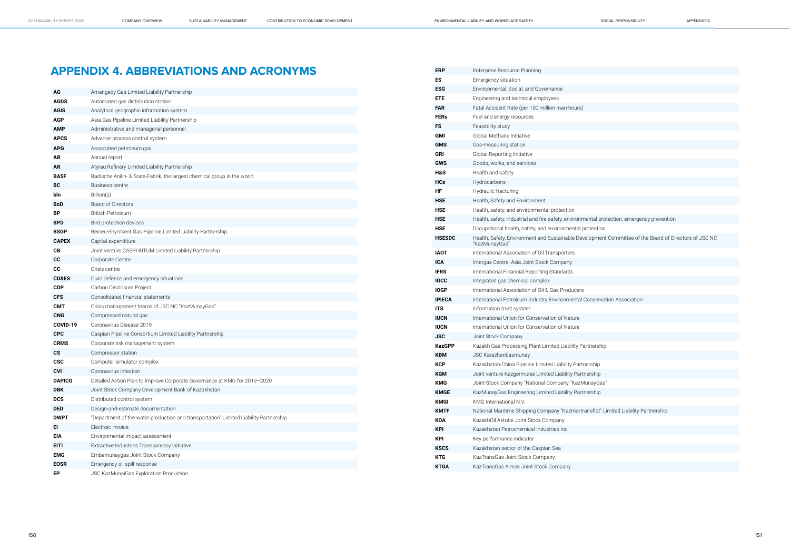| protection, emergency prevention                  |
|---------------------------------------------------|
| ion                                               |
|                                                   |
| ent Committee of the Board of Directors of JSC NC |
|                                                   |
|                                                   |
|                                                   |
|                                                   |
|                                                   |
| rvation Association                               |
|                                                   |
|                                                   |
|                                                   |
|                                                   |
|                                                   |
| ship                                              |
|                                                   |
| C                                                 |
| p                                                 |
| àas"                                              |
| p                                                 |
|                                                   |
| t" Limited Liability Partnership                  |
|                                                   |
|                                                   |
|                                                   |
|                                                   |
|                                                   |

## **APPENDIX 4. ABBREVIATIONS AND ACRONYMS**

| AG               | Amangedy Gas Limited Liability Partnership                                            |
|------------------|---------------------------------------------------------------------------------------|
| <b>AGDS</b>      | Automated gas distribution station                                                    |
| <b>AGIS</b>      | Analytical geographic information system                                              |
| <b>AGP</b>       | Asia Gas Pipeline Limited Liability Partnership                                       |
| AMP              | Administrative and managerial personnel                                               |
| <b>APCS</b>      | Advance process control system                                                        |
| <b>APG</b>       | Associated petroleum gas                                                              |
| AR               | Annual report                                                                         |
| AR               | Atyrau Refinery Limited Liability Partnership                                         |
| <b>BASF</b>      | Badische Anilin- & Soda-Fabrik, the largest chemical group in the world               |
| BC               | <b>Business centre</b>                                                                |
| bln              | Billion(s)                                                                            |
| BoD              | <b>Board of Directors</b>                                                             |
| ΒP               | <b>British Petroleum</b>                                                              |
| BPD              | Bird protection devices                                                               |
| <b>BSGP</b>      | Beineu-Shymkent Gas Pipeline Limited Liability Partnership                            |
| <b>CAPEX</b>     | Capital expenditure                                                                   |
| CВ               | Joint venture CASPI BITUM Limited Liability Partnership                               |
| CС               | Corporate Centre                                                                      |
| CС               | Crisis centre                                                                         |
| <b>CD&amp;ES</b> | Civid defence and emergency situations                                                |
| <b>CDP</b>       | Carbon Disclosure Project                                                             |
| <b>CFS</b>       | Consolidated financial statements                                                     |
| СМТ              | Crisis management teams of JSC NC "KazMunayGas"                                       |
| <b>CNG</b>       | Compressed natural gas                                                                |
| COVID-19         | Coronavirus Disease 2019                                                              |
| <b>CPC</b>       | Caspian Pipeline Consortium Limited Liability Partnership                             |
| <b>CRMS</b>      | Corporate risk management system                                                      |
| СS               | Compressor station                                                                    |
| <b>CSC</b>       | Computer simulator complex                                                            |
| CVI              | Coronavirus infection                                                                 |
| <b>DAPICG</b>    | Detailed Action Plan to Improve Corporate Governance at KMG for 2019-2020             |
| <b>DBK</b>       | Joint Stock Company Development Bank of Kazakhstan                                    |
| <b>DCS</b>       | Distributed control system                                                            |
| <b>DED</b>       | Design-and-estimate documentation                                                     |
| <b>DWPT</b>      | "Department of the water production and transportation" Limited Liability Partnership |
| EI               | Electroic invoice                                                                     |
| <b>EIA</b>       | Environmental impact assessment                                                       |
| <b>EITI</b>      | Extractive Industries Transparency Initiative                                         |
| <b>EMG</b>       | Embamunaygas Joint Stock Company                                                      |
| <b>EOSR</b>      | Emergency oil spill response                                                          |
| EP               | JSC KazMunaiGas Exploration Production                                                |

| <b>ERP</b>     | Enterprise Resource Planning                                                                                           |
|----------------|------------------------------------------------------------------------------------------------------------------------|
| ES             | Emergency situation                                                                                                    |
| <b>ESG</b>     | Environmental, Social, and Governance                                                                                  |
| <b>ETE</b>     | Engineering and technical employees                                                                                    |
| <b>FAR</b>     | Fatal Accident Rate (per 100 million man-hours)                                                                        |
| <b>FERs</b>    | Fuel and energy resources                                                                                              |
| FS             | Feasibility study                                                                                                      |
| GMI            | Global Methane Initiative                                                                                              |
| <b>GMS</b>     | Gas-measuring station                                                                                                  |
| <b>GRI</b>     | Global Reporting Initiative                                                                                            |
| <b>GWS</b>     | Goods, works, and services                                                                                             |
| <b>H&amp;S</b> | Health and safety                                                                                                      |
| <b>HCs</b>     | Hydrocarbons                                                                                                           |
| ΗF             | Hydraulic fracturing                                                                                                   |
| <b>HSE</b>     | Health, Safety and Environment                                                                                         |
| <b>HSE</b>     | Health, safety, and environmental protection                                                                           |
| <b>HSE</b>     | Health, safety, industrial and fire safety, environmental protection, emergency prevention                             |
| <b>HSE</b>     | Occupational health, safety, and environmental protection                                                              |
| <b>HSESDC</b>  | Health, Safety, Environment and Sustainable Development Committee of the Board of Directors of JSC NC<br>"KazMunayGas" |
| <b>IAOT</b>    | International Association of Oil Transporters                                                                          |
| <b>ICA</b>     | Intergas Central Asia Joint Stock Company                                                                              |
| <b>IFRS</b>    | International Financial Reporting Standards                                                                            |
| <b>IGCC</b>    | Integrated gas chemical complex                                                                                        |
| <b>IOGP</b>    | International Association of Oil & Gas Producers                                                                       |
| <b>IPIECA</b>  | International Petroleum Industry Environmental Conservation Association                                                |
| <b>ITS</b>     | Information trust system                                                                                               |
| <b>IUCN</b>    | International Union for Conservation of Nature                                                                         |
| <b>IUCN</b>    | International Union for Conservation of Nature                                                                         |
| JSC            | Joint Stock Company                                                                                                    |
| <b>KazGPP</b>  | Kazakh Gas Processing Plant Limited Liability Partnership                                                              |
| KBM            | <b>JSC Karazhanbasmunay</b>                                                                                            |
| KCP            | Kazakhstan-China Pipeline Limited Liability Partnership                                                                |
| KGM            | Joint venture Kazgermunai Limited Liability Partnership                                                                |
| <b>KMG</b>     | Joint-Stock Company "National Company "KazMunayGas"                                                                    |
| <b>KMGE</b>    | KazMunayGas Engineering Limited Liability Partnership                                                                  |
| <b>KMGI</b>    | KMG International N.V.                                                                                                 |
| <b>KMTF</b>    | National Maritime Shipping Company "Kazmortransflot" Limited Liability Partnership                                     |
| KOA            | KazakhOil Aktobe Joint Stock Company                                                                                   |
| <b>KPI</b>     | Kazakhstan Petrochemical Industries Inc.                                                                               |
| <b>KPI</b>     | Key performance indicator                                                                                              |
| <b>KSCS</b>    | Kazakhstan sector of the Caspian Sea                                                                                   |
| <b>KTG</b>     | KazTransGas Joint Stock Company                                                                                        |
| <b>KTGA</b>    | KazTransGas Aimak Joint Stock Company                                                                                  |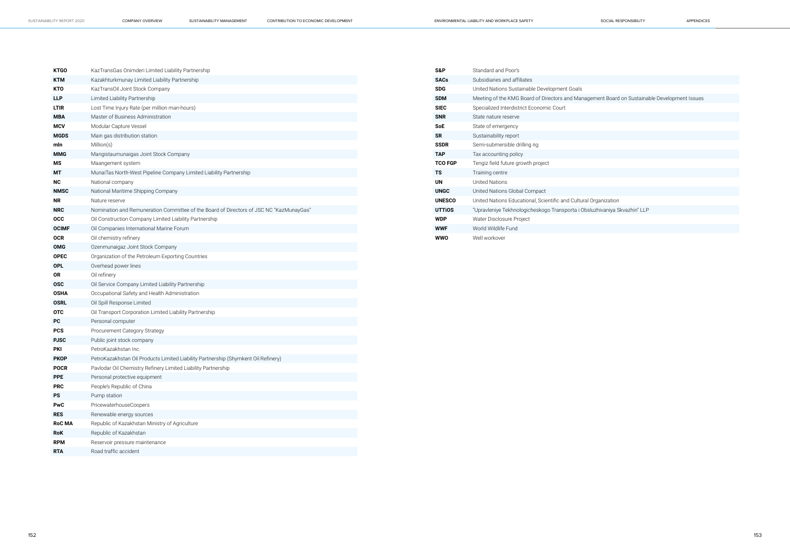| <b>KTGO</b>   | KazTransGas Onimderi Limited Liability Partnership                                      |
|---------------|-----------------------------------------------------------------------------------------|
| <b>KTM</b>    | Kazakhturkmunay Limited Liability Partnership                                           |
| <b>KTO</b>    | KazTransOil Joint Stock Company                                                         |
| <b>LLP</b>    | Limited Liability Partnership                                                           |
| <b>LTIR</b>   | Lost Time Injury Rate (per million man-hours)                                           |
| <b>MBA</b>    | Master of Business Administration                                                       |
| <b>MCV</b>    | Modular Capture Vessel                                                                  |
| <b>MGDS</b>   | Main gas distribution station                                                           |
| mln           | Million(s)                                                                              |
| <b>MMG</b>    | Mangistaumunaigas Joint Stock Company                                                   |
| ΜS            | Maangement system                                                                       |
| МT            | MunaiTas North-West Pipeline Company Limited Liability Partnership                      |
| <b>NC</b>     | National company                                                                        |
| <b>NMSC</b>   | National Maritime Shipping Company                                                      |
| <b>NR</b>     | Nature reserve                                                                          |
| <b>NRC</b>    | Nomination and Remuneration Committee of the Board of Directors of JSC NC "KazMunayGas" |
| <b>OCC</b>    | Oil Construction Company Limited Liability Partnership                                  |
| <b>OCIMF</b>  | Oil Companies International Marine Forum                                                |
| <b>OCR</b>    | Oil chemistry refinery                                                                  |
| <b>OMG</b>    | Ozenmunaigaz Joint Stock Company                                                        |
| <b>OPEC</b>   | Organization of the Petroleum Exporting Countries                                       |
| <b>OPL</b>    | Overhead power lines                                                                    |
| <b>OR</b>     | Oil refinery                                                                            |
| <b>OSC</b>    | Oil Service Company Limited Liability Partnership                                       |
| <b>OSHA</b>   | Occupational Safety and Health Administration                                           |
| <b>OSRL</b>   | Oil Spill Response Limited                                                              |
| <b>OTC</b>    | Oil Transport Corporation Limited Liability Partnership                                 |
| PC            | Personal computer                                                                       |
| <b>PCS</b>    | Procurement Category Strategy                                                           |
| <b>PJSC</b>   | Public joint stock company                                                              |
| <b>PKI</b>    | PetroKazakhstan Inc.                                                                    |
| <b>PKOP</b>   | PetroKazakhstan Oil Products Limited Liability Partnership (Shymkent Oil Refinery)      |
| <b>POCR</b>   | Pavlodar Oil Chemistry Refinery Limited Liability Partnership                           |
| <b>PPE</b>    | Personal protective equipment                                                           |
| <b>PRC</b>    | People's Republic of China                                                              |
| PS            | Pump station                                                                            |
| PwC           | PricewaterhouseCoopers                                                                  |
| <b>RES</b>    | Renewable energy sources                                                                |
| <b>RoC MA</b> | Republic of Kazakhstan Ministry of Agriculture                                          |
| <b>RoK</b>    | Republic of Kazakhstan                                                                  |
| <b>RPM</b>    | Reservoir pressure maintenance                                                          |
| <b>RTA</b>    | Road traffic accident                                                                   |

| S&P            | Standard and Poor's                                    |
|----------------|--------------------------------------------------------|
| <b>SACs</b>    | Subsidiaries and affiliates                            |
| <b>SDG</b>     | United Nations Sustainable Development Goals           |
| <b>SDM</b>     | Meeting of the KMG Board of Directors and Managen      |
| <b>SIEC</b>    | Specialized Interdistrict Economic Court               |
| <b>SNR</b>     | State nature reserve                                   |
| SoE            | State of emergency                                     |
| <b>SR</b>      | Sustainability report                                  |
| <b>SSDR</b>    | Semi-submersible drilling rig                          |
| TAP            | Tax accounting policy                                  |
| <b>TCO FGP</b> | Tengiz field future growth project                     |
| ΤS             | Training centre                                        |
| <b>UN</b>      | United Nations                                         |
| <b>UNGC</b>    | United Nations Global Compact                          |
| <b>UNESCO</b>  | United Nations Educational, Scientific and Cultural Or |
| <b>UTTIOS</b>  | "Upravleniye Tekhnologicheskogo Transporta i Obsluz    |
| <b>WDP</b>     | Water Disclosure Project                               |
| <b>WWF</b>     | World Wildlife Fund                                    |
| wwo            | Well workover                                          |

**SOM** Menting Development Issues

rganization

**UTHIVA** Skvazhin" LLP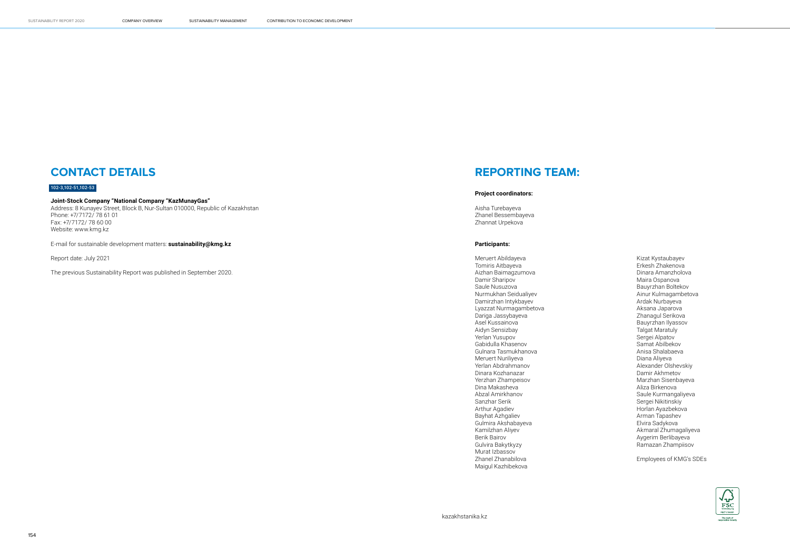## **CONTACT DETAILS**

#### 102-3,102-51,102-53

#### **Joint-Stock Company "National Company "KazMunayGas"**

Address: 8 Kunayev Street, Block B, Nur-Sultan 010000, Republic of Kazakhstan Phone: +7/7172/ 78 61 01 Fax: +7/7172/ 78 60 00 Website: www.kmg.kz

E-mail for sustainable development matters: **sustainability@kmg.kz**

Report date: July 2021

The previous Sustainability Report was published in September 2020.

## **REPORTING TEAM:**

#### **Project coordinators:**

Aisha Turebayeva Zhanel Bessembayeva Zhannat Urpekova

#### **Participants:**

Meruert Abildayeva Tomiris Aitbayeva Aizhan Baimagzumova Damir Sharipov Saule Nusuzova Nurmukhan Seidualiyev Damirzhan Intykbayev Lyazzat Nurmagambetova Dariga Jassybayeva Asel Kussainova Aidyn Sensizbay Yerlan Yusupov Gabidulla Khasenov Gulnara Tasmukhanova Meruert Nuriliyeva Yerlan Abdrahmanov Dinara Kozhanazar Yerzhan Zhampeisov Dina Makasheva Abzal Amirkhanov Sanzhar Serik Arthur Agadiev Bayhat Azhgaliev Gulmira Akshabayeva Kamilzhan Aliyev Berik Bairov Gulvira Bakytkyzy Murat Izbassov Zhanel Zhanabilova Maigul Kazhibekova

Kizat Kystaubayev Erkesh Zhakenova Dinara Amanzholova Maira Ospanova Bauyrzhan Boltekov Ainur Kulmagambetova Ardak Nurbayeva Aksana Japarova Zhanagul Serikova Bauyrzhan Ilyassov Talgat Maratuly Sergei Alpatov Samat Abilbekov Anisa Shalabaeva Diana Aliyeva Alexander Olshevskiy Damir Akhmetov Marzhan Sisenbayeva Aliza Birkenova Saule Kurmangaliyeva Sergei Nikitinskiy Horlan Ayazbekova Arman Tapashev Elvira Sadykova Akmaral Zhumagaliyeva Aygerim Berlibayeva Ramazan Zhampiisov

Employees of KMG's SDEs